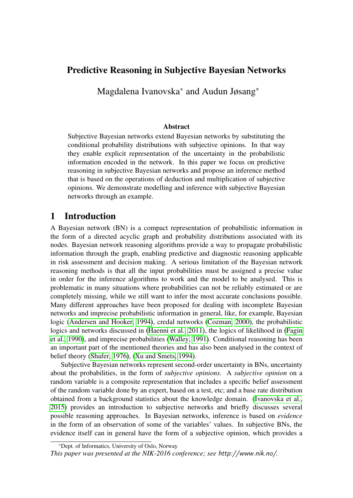# Predictive Reasoning in Subjective Bayesian Networks

Magdalena Ivanovska<sup>∗</sup> and Audun Jøsang\*

#### Abstract

Subjective Bayesian networks extend Bayesian networks by substituting the conditional probability distributions with subjective opinions. In that way they enable explicit representation of the uncertainty in the probabilistic information encoded in the network. In this paper we focus on predictive reasoning in subjective Bayesian networks and propose an inference method that is based on the operations of deduction and multiplication of subjective opinions. We demonstrate modelling and inference with subjective Bayesian networks through an example.

# 1 Introduction

A Bayesian network (BN) is a compact representation of probabilistic information in the form of a directed acyclic graph and probability distributions associated with its nodes. Bayesian network reasoning algorithms provide a way to propagate probabilistic information through the graph, enabling predictive and diagnostic reasoning applicable in risk assessment and decision making. A serious limitation of the Bayesian network reasoning methods is that all the input probabilities must be assigned a precise value in order for the inference algorithms to work and the model to be analysed. This is problematic in many situations where probabilities can not be reliably estimated or are completely missing, while we still want to infer the most accurate conclusions possible. Many different approaches have been proposed for dealing with incomplete Bayesian networks and imprecise probabilistic information in general, like, for example, Bayesian logic [\(Andersen and Hooker, 1994\)](#page-10-0), credal networks [\(Cozman, 2000\)](#page-11-0), the probabilistic logics and networks discussed in [\(Haenni et al., 2011\)](#page-11-1), the logics of likelihood in [\(Fagin](#page-11-2) [et al., 1990\)](#page-11-2), and imprecise probabilities [\(Walley, 1991\)](#page-11-3). Conditional reasoning has been an important part of the mentioned theories and has also been analysed in the context of belief theory [\(Shafer, 1976\)](#page-11-4), [\(Xu and Smets, 1994\)](#page-11-5).

Subjective Bayesian networks represent second-order uncertainty in BNs, uncertainty about the probabilities, in the form of *subjective opinions*. A *subjective opinion* on a random variable is a composite representation that includes a specific belief assessment of the random variable done by an expert, based on a test, etc; and a base rate distribution obtained from a background statistics about the knowledge domain. [\(Ivanovska et al.,](#page-11-6) [2015\)](#page-11-6) provides an introduction to subjective networks and briefly discusses several possible reasoning approaches. In Bayesian networks, inference is based on *evidence* in the form of an observation of some of the variables' values. In subjective BNs, the evidence itself can in general have the form of a subjective opinion, which provides a

\*Dept. of Informatics, University of Oslo, Norway

*This paper was presented at the NIK-2016 conference; see* http://www.nik.no/*.*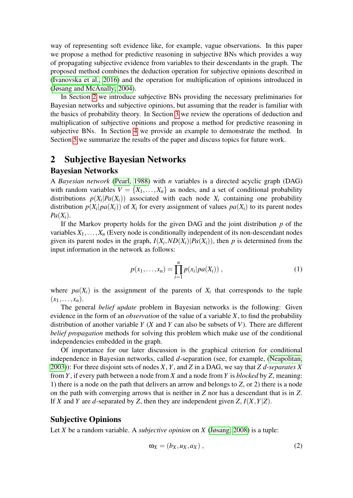way of representing soft evidence like, for example, vague observations. In this paper we propose a method for predictive reasoning in subjective BNs which provides a way of propagating subjective evidence from variables to their descendants in the graph. The proposed method combines the deduction operation for subjective opinions described in [\(Ivanovska et al., 2016\)](#page-11-7) and the operation for multiplication of opinions introduced in [\(Jøsang and McAnally, 2004\)](#page-11-8).

In Section [2](#page-1-0) we introduce subjective BNs providing the necessary preliminaries for Bayesian networks and subjective opinions, but assuming that the reader is familiar with the basics of probability theory. In Section [3](#page-3-0) we review the operations of deduction and multiplication of subjective opinions and propose a method for predictive reasoning in subjective BNs. In Section [4](#page-8-0) we provide an example to demonstrate the method. In Section [5](#page-10-1) we summarize the results of the paper and discuss topics for future work.

# <span id="page-1-0"></span>2 Subjective Bayesian Networks

#### Bayesian Networks

A *Bayesian network* [\(Pearl, 1988\)](#page-11-9) with *n* variables is a directed acyclic graph (DAG) with random variables  $V = \{X_1, \ldots, X_n\}$  as nodes, and a set of conditional probability distributions  $p(X_i|Pa(X_i))$  associated with each node  $X_i$  containing one probability distribution  $p(X_i|pa(X_i))$  of  $X_i$  for every assignment of values  $pa(X_i)$  to its parent nodes  $Pa(X_i)$ .

If the Markov property holds for the given DAG and the joint distribution *p* of the variables  $X_1, \ldots, X_n$  (Every node is conditionally independent of its non-descendant nodes given its parent nodes in the graph,  $I(X_i, ND(X_i) | Pa(X_i))$ , then *p* is determined from the input information in the network as follows:

$$
p(x_1,...,x_n) = \prod_{i=1}^n p(x_i|pa(X_i)),
$$
\n(1)

where  $pa(X_i)$  is the assignment of the parents of  $X_i$  that corresponds to the tuple  $(x_1, \ldots, x_n)$ .

The general *belief update* problem in Bayesian networks is the following: Given evidence in the form of an *observation* of the value of a variable *X*, to find the probability distribution of another variable *Y* (*X* and *Y* can also be subsets of *V*). There are different *belief propagation* methods for solving this problem which make use of the conditional independencies embedded in the graph.

Of importance for our later discussion is the graphical criterion for conditional independence in Bayesian networks, called *d*-separation (see, for example, [\(Neapolitan,](#page-11-10) [2003\)](#page-11-10)): For three disjoint sets of nodes *X*, *Y*, and *Z* in a DAG, we say that *Z d-separates X* from *Y*, if every path between a node from *X* and a node from *Y* is *blocked* by *Z*, meaning: 1) there is a node on the path that delivers an arrow and belongs to *Z*, or 2) there is a node on the path with converging arrows that is neither in *Z* nor has a descendant that is in *Z*. If *X* and *Y* are *d*-separated by *Z*, then they are independent given *Z*, *I*(*X*,*Y*|*Z*).

#### Subjective Opinions

Let *X* be a random variable. A *subjective opinion* on *X* [\(Jøsang, 2008\)](#page-11-11) is a tuple:

$$
\omega_X = (b_X, u_X, a_X), \qquad (2)
$$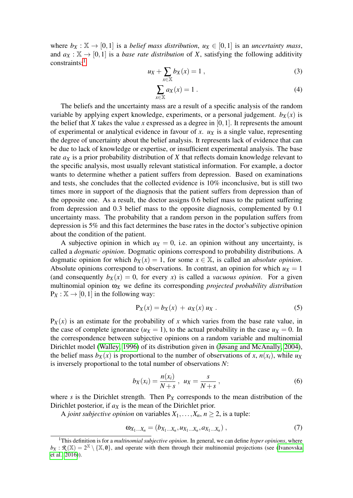where  $b_X : \mathbb{X} \to [0,1]$  is a *belief mass distribution*,  $u_X \in [0,1]$  is an *uncertainty mass*, and  $a_X : \mathbb{X} \to [0,1]$  is a *base rate distribution* of *X*, satisfying the following additivity constraints:<sup>[1](#page-2-0)</sup>

<span id="page-2-1"></span>
$$
u_X + \sum_{x \in \mathbb{X}} b_X(x) = 1 \tag{3}
$$

$$
\sum_{x \in \mathbb{X}} a_X(x) = 1 \tag{4}
$$

The beliefs and the uncertainty mass are a result of a specific analysis of the random variable by applying expert knowledge, experiments, or a personal judgement.  $b_X(x)$  is the belief that  $X$  takes the value  $x$  expressed as a degree in  $[0,1]$ . It represents the amount of experimental or analytical evidence in favour of  $x$ .  $u<sub>X</sub>$  is a single value, representing the degree of uncertainty about the belief analysis. It represents lack of evidence that can be due to lack of knowledge or expertise, or insufficient experimental analysis. The base rate *a<sup>X</sup>* is a prior probability distribution of *X* that reflects domain knowledge relevant to the specific analysis, most usually relevant statistical information. For example, a doctor wants to determine whether a patient suffers from depression. Based on examinations and tests, she concludes that the collected evidence is 10% inconclusive, but is still two times more in support of the diagnosis that the patient suffers from depression than of the opposite one. As a result, the doctor assigns 0.6 belief mass to the patient suffering from depression and 0.3 belief mass to the opposite diagnosis, complemented by 0.1 uncertainty mass. The probability that a random person in the population suffers from depression is 5% and this fact determines the base rates in the doctor's subjective opinion about the condition of the patient.

A subjective opinion in which  $u<sub>X</sub> = 0$ , i.e. an opinion without any uncertainty, is called a *dogmatic opinion*. Dogmatic opinions correspond to probability distributions. A dogmatic opinion for which  $b_X(x) = 1$ , for some  $x \in \mathbb{X}$ , is called an *absolute opinion*. Absolute opinions correspond to observations. In contrast, an opinion for which  $u<sub>X</sub> = 1$ (and consequently  $b_X(x) = 0$ , for every *x*) is called a *vacuous opinion*. For a given multinomial opinion ω*<sup>X</sup>* we define its corresponding *projected probability distribution*  $P_X : X \to [0,1]$  in the following way:

<span id="page-2-2"></span>
$$
P_X(x) = b_X(x) + a_X(x) u_X.
$$
 (5)

 $P_X(x)$  is an estimate for the probability of *x* which varies from the base rate value, in the case of complete ignorance  $(u_X = 1)$ , to the actual probability in the case  $u_X = 0$ . In the correspondence between subjective opinions on a random variable and multinomial Dirichlet model [\(Walley, 1996\)](#page-11-12) of its distribution given in [\(Jøsang and McAnally, 2004\)](#page-11-8), the belief mass  $b_X(x)$  is proportional to the number of observations of x,  $n(x_i)$ , while  $u_X$ is inversely proportional to the total number of observations *N*:

$$
b_X(x_i) = \frac{n(x_i)}{N+s} \,, \ \ u_X = \frac{s}{N+s} \,, \tag{6}
$$

where  $s$  is the Dirichlet strength. Then  $P_X$  corresponds to the mean distribution of the Dirichlet posterior, if *a<sup>X</sup>* is the mean of the Dirichlet prior.

A *joint subjective opinion* on variables  $X_1, \ldots, X_n, n \geq 2$ , is a tuple:

$$
\omega_{X_1...X_n} = (b_{X_1...X_n}, u_{X_1...X_n}, a_{X_1...X_n}),
$$
\n(7)

<span id="page-2-0"></span><sup>1</sup>This definition is for a *multinomial subjective opinion*. In general, we can define *hyper opinions*, where  $b_X : \mathcal{R}(\mathbb{X}) = 2^{\mathbb{X}} \setminus \{ \mathbb{X}, \mathbf{0} \}$ , and operate with them through their multinomial projections (see [\(Ivanovska](#page-11-7) [et al., 2016\)](#page-11-7)).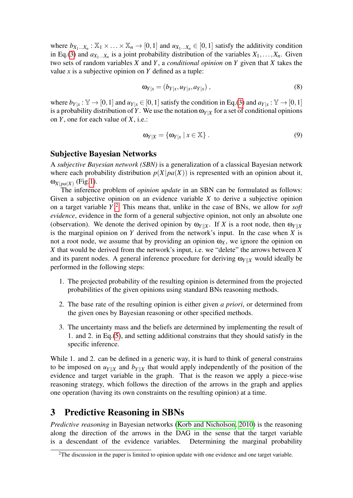where  $b_{X_1...X_n}$ :  $\mathbb{X}_1 \times \ldots \times \mathbb{X}_n \to [0,1]$  and  $u_{X_1...X_n} \in [0,1]$  satisfy the additivity condition in Eq.[\(3\)](#page-2-1) and  $a_{X_1...X_n}$  is a joint probability distribution of the variables  $X_1,...,X_n$ . Given two sets of random variables *X* and *Y*, a *conditional opinion* on *Y* given that *X* takes the value *x* is a subjective opinion on *Y* defined as a tuple:

$$
\mathbf{\omega}_{Y|x} = (b_{Y|x}, u_{Y|x}, a_{Y|x}), \qquad (8)
$$

where  $b_{Y|x} : \mathbb{Y} \to [0,1]$  and  $u_{Y|x} \in [0,1]$  satisfy the condition in Eq.[\(3\)](#page-2-1) and  $a_{Y|x} : \mathbb{Y} \to [0,1]$ is a probability distribution of *Y*. We use the notation  $\omega_{Y|X}$  for a set of conditional opinions on *Y*, one for each value of *X*, i.e.:

$$
\omega_{Y|X} = \{ \omega_{Y|x} \mid x \in \mathbb{X} \} . \tag{9}
$$

#### Subjective Bayesian Networks

A *subjective Bayesian network (SBN)* is a generalization of a classical Bayesian network where each probability distribution  $p(X|pa(X))$  is represented with an opinion about it,  $\omega_{X|pa(X)}$  (Fig[.1\)](#page-4-0).

The inference problem of *opinion update* in an SBN can be formulated as follows: Given a subjective opinion on an evidence variable *X* to derive a subjective opinion on a target variable *Y*. [2](#page-3-1) This means that, unlike in the case of BNs, we allow for *soft evidence*, evidence in the form of a general subjective opinion, not only an absolute one (observation). We denote the derived opinion by  $\omega_{Y||X}$ . If *X* is a root node, then  $\omega_{Y||X}$ is the marginal opinion on *Y* derived from the network's input. In the case when *X* is not a root node, we assume that by providing an opinion  $\omega_X$ , we ignore the opinion on *X* that would be derived from the network's input, i.e. we "delete" the arrows between *X* and its parent nodes. A general inference procedure for deriving  $\omega_{Y||X}$  would ideally be performed in the following steps:

- 1. The projected probability of the resulting opinion is determined from the projected probabilities of the given opinions using standard BNs reasoning methods.
- 2. The base rate of the resulting opinion is either given *a priori*, or determined from the given ones by Bayesian reasoning or other specified methods.
- 3. The uncertainty mass and the beliefs are determined by implementing the result of 1. and 2. in Eq.[\(5\)](#page-2-2), and setting additional constrains that they should satisfy in the specific inference.

While 1. and 2. can be defined in a generic way, it is hard to think of general constrains to be imposed on  $u_{Y||X}$  and  $b_{Y||X}$  that would apply independently of the position of the evidence and target variable in the graph. That is the reason we apply a piece-wise reasoning strategy, which follows the direction of the arrows in the graph and applies one operation (having its own constraints on the resulting opinion) at a time.

# <span id="page-3-0"></span>3 Predictive Reasoning in SBNs

*Predictive reasoning* in Bayesian networks [\(Korb and Nicholson, 2010\)](#page-11-13) is the reasoning along the direction of the arrows in the DAG in the sense that the target variable is a descendant of the evidence variables. Determining the marginal probability

<span id="page-3-1"></span> $2$ The discussion in the paper is limited to opinion update with one evidence and one target variable.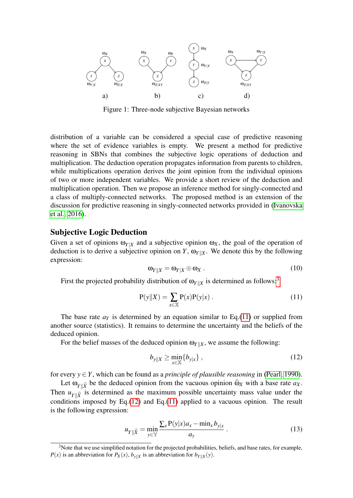

<span id="page-4-0"></span>Figure 1: Three-node subjective Bayesian networks

distribution of a variable can be considered a special case of predictive reasoning where the set of evidence variables is empty. We present a method for predictive reasoning in SBNs that combines the subjective logic operations of deduction and multiplication. The deduction operation propagates information from parents to children, while multiplications operation derives the joint opinion from the individual opinions of two or more independent variables. We provide a short review of the deduction and multiplication operation. Then we propose an inference method for singly-connected and a class of multiply-connected networks. The proposed method is an extension of the discussion for predictive reasoning in singly-connected networks provided in [\(Ivanovska](#page-11-7) [et al., 2016\)](#page-11-7).

#### Subjective Logic Deduction

Given a set of opinions  $\omega_{Y|X}$  and a subjective opinion  $\omega_X$ , the goal of the operation of deduction is to derive a subjective opinion on *Y*,  $\omega_{Y||X}$ . We denote this by the following expression:

$$
\omega_{Y||X} = \omega_{Y|X} \circ \omega_X \ . \tag{10}
$$

First the projected probability distribution of  $\omega_{Y|X}$  is determined as follows:<sup>[3](#page-4-1)</sup>

<span id="page-4-2"></span>
$$
P(y||X) = \sum_{x \in X} P(x)P(y|x).
$$
 (11)

The base rate  $a<sub>Y</sub>$  is determined by an equation similar to Eq.[\(11\)](#page-4-2) or supplied from another source (statistics). It remains to determine the uncertainty and the beliefs of the deduced opinion.

For the belief masses of the deduced opinion  $\omega_{Y|X}$ , we assume the following:

<span id="page-4-3"></span>
$$
b_{y\|X} \ge \min_{x \in \mathbb{X}} \{b_{y|x}\},\tag{12}
$$

for every  $y \in Y$ , which can be found as a *principle of plausible reasoning* in [\(Pearl, 1990\)](#page-11-14).

Let  $\omega_{Y|\hat{X}}$  be the deduced opinion from the vacuous opinion  $\widehat{\omega}_X$  with a base rate  $a_X$ . Then  $u_{Y\|\hat{Y}}$  is determined as the maximum possible uncertainty mass value under the conditions imposed by Eq. $(12)$  and Eq. $(11)$  applied to a vacuous opinion. The result is the following expression:

$$
u_{Y\|\widehat{X}} = \min_{y \in \mathbb{Y}} \frac{\sum_{x} P(y|x) a_x - \min_{x} b_{y|x}}{a_y} \,. \tag{13}
$$

<span id="page-4-1"></span> $3$ Note that we use simplified notation for the projected probabilities, beliefs, and base rates, for example, *P*(*x*) is an abbreviation for *P<sub>X</sub>*(*x*),  $b_{y|X}$  is an abbreviation for  $b_{Y|X}(y)$ .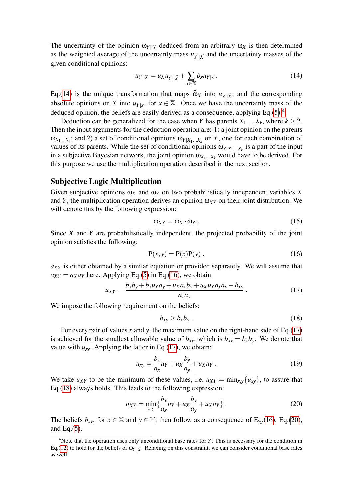The uncertainty of the opinion  $\omega_{Y|X}$  deduced from an arbitrary  $\omega_X$  is then determined as the weighted average of the uncertainty mass  $u_{\gamma \parallel \widehat{X}}$  and the uncertainty masses of the given conditional opinions:

<span id="page-5-0"></span>
$$
u_{Y||X} = u_X u_{Y||\widehat{X}} + \sum_{x \in \mathbb{X}} b_x u_{Y|x} .
$$
 (14)

Eq.[\(14\)](#page-5-0) is the unique transformation that maps  $\hat{\omega}_X$  into  $u_{Y|\hat{X}}$ , and the corresponding absolute opinions on *X* into  $u_{Y|x}$ , for  $x \in \mathbb{X}$ . Once we have the uncertainty mass of the deduced opinion, the beliefs are easily derived as a consequence, applying Eq.[\(5\)](#page-2-2).<sup>[4](#page-5-1)</sup>

Deduction can be generalized for the case when *Y* has parents  $X_1 \dots X_k$ , where  $k \geq 2$ . Then the input arguments for the deduction operation are: 1) a joint opinion on the parents  $\omega_{X_1...X_k}$ ; and 2) a set of conditional opinions  $\omega_{Y|X_1...X_k}$  on *Y*, one for each combination of values of its parents. While the set of conditional opinions  $\omega_{Y|X_1...X_k}$  is a part of the input in a subjective Bayesian network, the joint opinion  $\omega_{X_1...X_k}$  would have to be derived. For this purpose we use the multiplication operation described in the next section.

#### Subjective Logic Multiplication

Given subjective opinions  $\omega_X$  and  $\omega_Y$  on two probabilistically independent variables X and *Y*, the multiplication operation derives an opinion  $\omega_{XY}$  on their joint distribution. We will denote this by the following expression:

$$
\omega_{XY} = \omega_X \cdot \omega_Y \,. \tag{15}
$$

Since *X* and *Y* are probabilistically independent, the projected probability of the joint opinion satisfies the following:

<span id="page-5-2"></span>
$$
P(x, y) = P(x)P(y).
$$
 (16)

*aXY* is either obtained by a similar equation or provided separately. We will assume that  $a_{XY} = a_X a_Y$  here. Applying Eq.[\(5\)](#page-2-2) in Eq.[\(16\)](#page-5-2), we obtain:

<span id="page-5-3"></span>
$$
u_{XY} = \frac{b_x b_y + b_x u_Y a_y + u_X a_x b_y + u_X u_Y a_x a_y - b_{xy}}{a_x a_y} \,. \tag{17}
$$

We impose the following requirement on the beliefs:

<span id="page-5-4"></span>
$$
b_{xy} \ge b_x b_y \,. \tag{18}
$$

For every pair of values *x* and *y*, the maximum value on the right-hand side of Eq.[\(17\)](#page-5-3) is achieved for the smallest allowable value of  $b_{xy}$ , which is  $b_{xy} = b_x b_y$ . We denote that value with  $u_{xy}$ . Applying the latter in Eq.[\(17\)](#page-5-3), we obtain:

$$
u_{xy} = \frac{b_x}{a_x} u_Y + u_X \frac{b_y}{a_y} + u_X u_Y \tag{19}
$$

We take  $u_{XY}$  to be the minimum of these values, i.e.  $u_{XY} = \min_{x,y} \{u_{xy}\}$ , to assure that Eq.[\(18\)](#page-5-4) always holds. This leads to the following expression:

<span id="page-5-5"></span>
$$
u_{XY} = \min_{x,y} \left\{ \frac{b_x}{a_x} u_Y + u_X \frac{b_y}{a_y} + u_X u_Y \right\}.
$$
 (20)

The beliefs  $b_{xy}$ , for  $x \in \mathbb{X}$  and  $y \in \mathbb{Y}$ , then follow as a consequence of Eq.[\(16\)](#page-5-2), Eq.[\(20\)](#page-5-5), and Eq. $(5)$ .

<span id="page-5-1"></span><sup>4</sup>Note that the operation uses only unconditional base rates for *Y*. This is necessary for the condition in Eq.[\(12\)](#page-4-3) to hold for the beliefs of  $\omega_{Y|X}$ . Relaxing on this constraint, we can consider conditional base rates as well.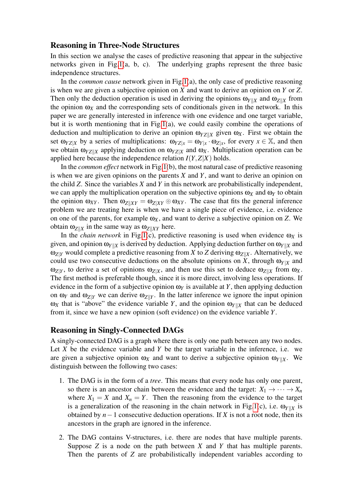#### Reasoning in Three-Node Structures

In this section we analyse the cases of predictive reasoning that appear in the subjective networks given in Fig[.1\(](#page-4-0)a, b, c). The underlying graphs represent the three basic independence structures.

In the *common cause* network given in Fig[.1\(](#page-4-0)a), the only case of predictive reasoning is when we are given a subjective opinion on *X* and want to derive an opinion on *Y* or *Z*. Then only the deduction operation is used in deriving the opinions  $\omega_{Y|X}$  and  $\omega_{Z|X}$  from the opinion  $\omega_X$  and the corresponding sets of conditionals given in the network. In this paper we are generally interested in inference with one evidence and one target variable, but it is worth mentioning that in Fig[.1\(](#page-4-0)a), we could easily combine the operations of deduction and multiplication to derive an opinion  $\omega_{YZ|X}$  given  $\omega_X$ . First we obtain the set  $\omega_{YZ|X}$  by a series of multiplications:  $\omega_{YZ|x} = \omega_{Y|x} \cdot \omega_{Z|x}$ , for every  $x \in \mathbb{X}$ , and then we obtain  $\omega_{YZ|X}$  applying deduction on  $\omega_{YZ|X}$  and  $\omega_X$ . Multiplication operation can be applied here because the independence relation  $I(Y, Z|X)$  holds.

In the *common effect* network in Fig[.1\(](#page-4-0)b), the most natural case of predictive reasoning is when we are given opinions on the parents *X* and *Y*, and want to derive an opinion on the child *Z*. Since the variables *X* and *Y* in this network are probabilistically independent, we can apply the multiplication operation on the subjective opinions  $\omega_X$  and  $\omega_Y$  to obtain the opinion  $\omega_{XY}$ . Then  $\omega_{Z|XY} = \omega_{Z|XY} \otimes \omega_{XY}$ . The case that fits the general inference problem we are treating here is when we have a single piece of evidence, i.e. evidence on one of the parents, for example  $\omega_X$ , and want to derive a subjective opinion on Z. We obtain  $ω_{Z||X}$  in the same way as  $ω_{Z||XY}$  here.

In the *chain network* in Fig[.1\(](#page-4-0)c), predictive reasoning is used when evidence  $\omega_X$  is given, and opinion  $\omega_{Y|X}$  is derived by deduction. Applying deduction further on  $\omega_{Y|X}$  and  $ω_{Z|Y}$  would complete a predictive reasoning from *X* to *Z* deriving  $ω_{Z|X}$ . Alternatively, we could use two consecutive deductions on the absolute opinions on *X*, through  $\omega_{Y|X}$  and  $ω_{Z|Y}$ , to derive a set of opinions  $ω_{Z|X}$ , and then use this set to deduce  $ω_{Z|X}$  from  $ω_X$ . The first method is preferable though, since it is more direct, involving less operations. If evidence in the form of a subjective opinion  $\omega_Y$  is available at *Y*, then applying deduction on  $\omega_Y$  and  $\omega_{Z|Y}$  we can derive  $\omega_{Z|Y}$ . In the latter inference we ignore the input opinion  $\omega_X$  that is "above" the evidence variable *Y*, and the opinion  $\omega_{Y|X}$  that can be deduced from it, since we have a new opinion (soft evidence) on the evidence variable *Y*.

#### Reasoning in Singly-Connected DAGs

A singly-connected DAG is a graph where there is only one path between any two nodes. Let *X* be the evidence variable and *Y* be the target variable in the inference, i.e. we are given a subjective opinion  $\omega_X$  and want to derive a subjective opinion  $\omega_{Y||X}$ . We distinguish between the following two cases:

- 1. The DAG is in the form of a *tree*. This means that every node has only one parent, so there is an ancestor chain between the evidence and the target:  $X_1 \rightarrow \cdots \rightarrow X_n$ where  $X_1 = X$  and  $X_n = Y$ . Then the reasoning from the evidence to the target is a generalization of the reasoning in the chain network in Fig[.1\(](#page-4-0)c), i.e.  $\omega_{Y||X}$  is obtained by *n*−1 consecutive deduction operations. If *X* is not a root node, then its ancestors in the graph are ignored in the inference.
- 2. The DAG contains V-structures, i.e. there are nodes that have multiple parents. Suppose *Z* is a node on the path between *X* and *Y* that has multiple parents. Then the parents of *Z* are probabilistically independent variables according to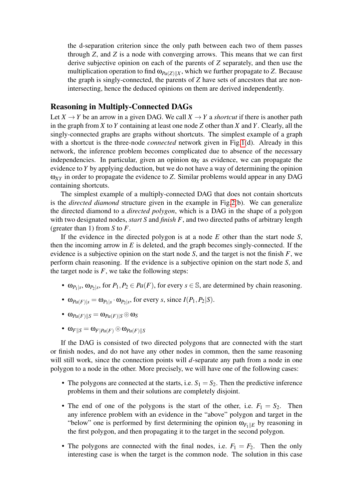the d-separation criterion since the only path between each two of them passes through *Z*, and *Z* is a node with converging arrows. This means that we can first derive subjective opinion on each of the parents of *Z* separately, and then use the multiplication operation to find  $\omega_{Pa(Z)||X}$ , which we further propagate to *Z*. Because the graph is singly-connected, the parents of *Z* have sets of ancestors that are nonintersecting, hence the deduced opinions on them are derived independently.

### <span id="page-7-0"></span>Reasoning in Multiply-Connected DAGs

Let  $X \to Y$  be an arrow in a given DAG. We call  $X \to Y$  a *shortcut* if there is another path in the graph from *X* to *Y* containing at least one node *Z* other than *X* and *Y*. Clearly, all the singly-connected graphs are graphs without shortcuts. The simplest example of a graph with a shortcut is the three-node *connected* network given in Fig[.1\(](#page-4-0)d). Already in this network, the inference problem becomes complicated due to absence of the necessary independencies. In particular, given an opinion  $\omega_X$  as evidence, we can propagate the evidence to *Y* by applying deduction, but we do not have a way of determining the opinion ω*XY* in order to propagate the evidence to *Z*. Similar problems would appear in any DAG containing shortcuts.

The simplest example of a multiply-connected DAG that does not contain shortcuts is the *directed diamond* structure given in the example in Fig[.2\(](#page-8-1)b). We can generalize the directed diamond to a *directed polygon*, which is a DAG in the shape of a polygon with two designated nodes, *start S* and *finish F*, and two directed paths of arbitrary length (greater than 1) from *S* to *F*.

If the evidence in the directed polygon is at a node *E* other than the start node *S*, then the incoming arrow in *E* is deleted, and the graph becomes singly-connected. If the evidence is a subjective opinion on the start node *S*, and the target is not the finish *F*, we perform chain reasoning. If the evidence is a subjective opinion on the start node *S*, and the target node is  $F$ , we take the following steps:

- $\omega_{P_1|s}$ ,  $\omega_{P_2|s}$ , for  $P_1, P_2 \in Pa(F)$ , for every  $s \in \mathbb{S}$ , are determined by chain reasoning.
- $\omega_{Pa(F)|s} = \omega_{P_1|s} \cdot \omega_{P_2|s}$ , for every *s*, since  $I(P_1, P_2|S)$ .
- $\omega_{Pa(F)|S} = \omega_{Pa(F)|S} \otimes \omega_S$
- $\omega_F|_{S} = \omega_F|_{Pa(F)} \otimes \omega_{Pa(F)}|_{S}$

If the DAG is consisted of two directed polygons that are connected with the start or finish nodes, and do not have any other nodes in common, then the same reasoning will still work, since the connection points will *d*-separate any path from a node in one polygon to a node in the other. More precisely, we will have one of the following cases:

- The polygons are connected at the starts, i.e.  $S_1 = S_2$ . Then the predictive inference problems in them and their solutions are completely disjoint.
- The end of one of the polygons is the start of the other, i.e.  $F_1 = S_2$ . Then any inference problem with an evidence in the "above" polygon and target in the "below" one is performed by first determining the opinion  $\omega_{F_1 \parallel F}$  by reasoning in the first polygon, and then propagating it to the target in the second polygon.
- The polygons are connected with the final nodes, i.e.  $F_1 = F_2$ . Then the only interesting case is when the target is the common node. The solution in this case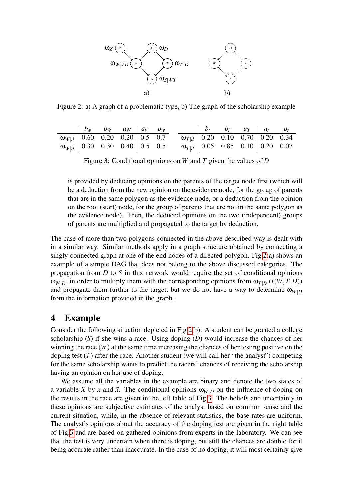

<span id="page-8-1"></span>Figure 2: a) A graph of a problematic type, b) The graph of the scholarship example

|                                                                                                                                                          | $\begin{vmatrix} b_w & b_{\overline{w}} & u_W & a_w & p_w \end{vmatrix}$ |  |                                                                                                                                                         |  | $\begin{vmatrix} b_t & b_{\bar{t}} & u_{\bar{T}} & a_t & p_t \end{vmatrix}$ |  |
|----------------------------------------------------------------------------------------------------------------------------------------------------------|--------------------------------------------------------------------------|--|---------------------------------------------------------------------------------------------------------------------------------------------------------|--|-----------------------------------------------------------------------------|--|
|                                                                                                                                                          |                                                                          |  |                                                                                                                                                         |  |                                                                             |  |
| $\begin{array}{c cc}\n\hline\n\omega_{W d} & 0.60 & 0.20 & 0.20 & 0.5 & 0.7 \\ \hline\n\omega_{W \bar{d}} & 0.30 & 0.30 & 0.40 & 0.5 & 0.5\n\end{array}$ |                                                                          |  | $\begin{array}{c cc} \hline \varpi_{\mid d} & 0.20 & 0.10 & 0.70 & 0.20 & 0.34 \\ \varpi_{\mid \bar{d}} & 0.05 & 0.85 & 0.10 & 0.20 & 0.07 \end{array}$ |  |                                                                             |  |

<span id="page-8-2"></span>Figure 3: Conditional opinions on *W* and *T* given the values of *D*

is provided by deducing opinions on the parents of the target node first (which will be a deduction from the new opinion on the evidence node, for the group of parents that are in the same polygon as the evidence node, or a deduction from the opinion on the root (start) node, for the group of parents that are not in the same polygon as the evidence node). Then, the deduced opinions on the two (independent) groups of parents are multiplied and propagated to the target by deduction.

The case of more than two polygons connected in the above described way is dealt with in a similar way. Similar methods apply in a graph structure obtained by connecting a singly-connected graph at one of the end nodes of a directed polygon. Fig[.2\(](#page-8-1)a) shows an example of a simple DAG that does not belong to the above discussed categories. The propagation from *D* to *S* in this network would require the set of conditional opinions  $\omega_{W|D}$ , in order to multiply them with the corresponding opinions from  $\omega_{T|D}$  (*I*(*W*,*T*|*D*)) and propagate them further to the target, but we do not have a way to determine  $\omega_{W|D}$ from the information provided in the graph.

### <span id="page-8-0"></span>4 Example

Consider the following situation depicted in Fig[.2\(](#page-8-1)b): A student can be granted a college scholarship (*S*) if she wins a race. Using doping (*D*) would increase the chances of her winning the race  $(W)$  at the same time increasing the chances of her testing positive on the doping test  $(T)$  after the race. Another student (we will call her "the analyst") competing for the same scholarship wants to predict the racers' chances of receiving the scholarship having an opinion on her use of doping.

We assume all the variables in the example are binary and denote the two states of a variable *X* by *x* and  $\bar{x}$ . The conditional opinions  $\omega_{W|D}$  on the influence of doping on the results in the race are given in the left table of Fig[.3.](#page-8-2) The beliefs and uncertainty in these opinions are subjective estimates of the analyst based on common sense and the current situation, while, in the absence of relevant statistics, the base rates are uniform. The analyst's opinions about the accuracy of the doping test are given in the right table of Fig[.3](#page-8-2) and are based on gathered opinions from experts in the laboratory. We can see that the test is very uncertain when there is doping, but still the chances are double for it being accurate rather than inaccurate. In the case of no doping, it will most certainly give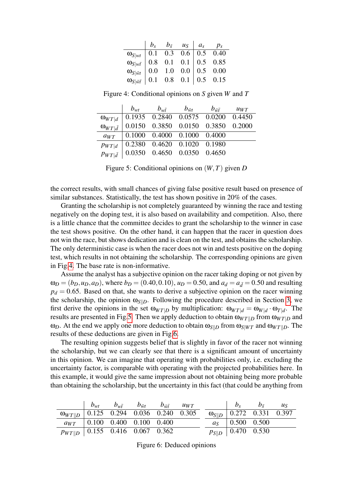|                                                                                                                                                                                                                                                            |  | $b_s$ $b_{\bar{s}}$ $u_s$ $a_s$ $p_s$ |  |
|------------------------------------------------------------------------------------------------------------------------------------------------------------------------------------------------------------------------------------------------------------|--|---------------------------------------|--|
|                                                                                                                                                                                                                                                            |  |                                       |  |
|                                                                                                                                                                                                                                                            |  |                                       |  |
|                                                                                                                                                                                                                                                            |  |                                       |  |
| $\begin{tabular}{l cccccc} $\omega_{S wt}$ & 0.1 & 0.3 & 0.6 & 0.5 & 0.40 \\ $\omega_{S wt}$ & 0.8 & 0.1 & 0.1 & 0.5 & 0.85 \\ $\omega_{S \bar{wt}}$ & 0.0 & 1.0 & 0.0 & 0.5 & 0.00 \\ $\omega_{S \bar{wt}}$ & 0.1 & 0.8 & 0.1 & 0.5 & 0.15 \end{tabular}$ |  |                                       |  |

<span id="page-9-0"></span>Figure 4: Conditional opinions on *S* given *W* and *T*

|                        | $b_{wt}$ | $b_{\rm wf}$ $b_{\bar{\rm wt}}$                                     | $b_{\bar{w}\bar{t}}$ $u_{WT}$                                                                                                                                   |  |
|------------------------|----------|---------------------------------------------------------------------|-----------------------------------------------------------------------------------------------------------------------------------------------------------------|--|
|                        |          |                                                                     | $\begin{array}{c ccccc}\n\omega_{WT d} & 0.1935 & 0.2840 & 0.0575 & 0.0200 & 0.4450 \\ \omega_{WT d} & 0.0150 & 0.3850 & 0.0150 & 0.3850 & 0.2000\n\end{array}$ |  |
| $\omega_{WT \bar{d} }$ |          |                                                                     |                                                                                                                                                                 |  |
| $a_{WT}$               |          | $\vert 0.1000 \quad 0.4000 \quad 0.1000 \quad 0.4000$               |                                                                                                                                                                 |  |
| PWT d                  |          | $\begin{array}{cccc} 0.2380 & 0.4620 & 0.1020 & 0.1980 \end{array}$ |                                                                                                                                                                 |  |
|                        |          | $p_{WT d}$ 0.0350 0.4650 0.0350 0.4650                              |                                                                                                                                                                 |  |

<span id="page-9-1"></span>Figure 5: Conditional opinions on (*W*,*T*) given *D*

the correct results, with small chances of giving false positive result based on presence of similar substances. Statistically, the test has shown positive in 20% of the cases.

Granting the scholarship is not completely guaranteed by winning the race and testing negatively on the doping test, it is also based on availability and competition. Also, there is a little chance that the committee decides to grant the scholarship to the winner in case the test shows positive. On the other hand, it can happen that the racer in question does not win the race, but shows dedication and is clean on the test, and obtains the scholarship. The only deterministic case is when the racer does not win and tests positive on the doping test, which results in not obtaining the scholarship. The corresponding opinions are given in Fig[.4.](#page-9-0) The base rate is non-informative.

Assume the analyst has a subjective opinion on the racer taking doping or not given by  $\omega_D = (b_D, u_D, a_D)$ , where  $b_D = (0.40, 0.10)$ ,  $u_D = 0.50$ , and  $a_d = a_{\bar{d}} = 0.50$  and resulting  $p_d = 0.65$ . Based on that, she wants to derive a subjective opinion on the racer winning the scholarship, the opinion  $\omega_{S\parallel D}$ . Following the procedure described in Section [3,](#page-7-0) we first derive the opinions in the set  $\omega_{WT|D}$  by multiplication:  $\omega_{WT|d} = \omega_{W|d} \cdot \omega_{T|d}$ . The results are presented in Fig[.5.](#page-9-1) Then we apply deduction to obtain  $\omega_{W T\parallel D}$  from  $\omega_{W T\parallel D}$  and ω<sub>*D*</sub>. At the end we apply one more deduction to obtain  $ω_{S||D}$  from  $ω_{S||WT}$  and  $ω_{WT||D}$ . The results of these deductions are given in Fig[.6.](#page-9-2)

The resulting opinion suggests belief that is slightly in favor of the racer not winning the scholarship, but we can clearly see that there is a significant amount of uncertainty in this opinion. We can imagine that operating with probabilities only, i.e. excluding the uncertainty factor, is comparable with operating with the projected probabilities here. In this example, it would give the same impression about not obtaining being more probable than obtaining the scholarship, but the uncertainty in this fact (that could be anything from

|                                                |  | $b_{wt}$ $b_{w\bar{t}}$ $b_{\bar{w}\bar{t}}$ $b_{\bar{w}\bar{t}}$ $u_{WT}$ |  |                                          | $b_s$ $b_{\bar{s}}$ $u_s$ |  |
|------------------------------------------------|--|----------------------------------------------------------------------------|--|------------------------------------------|---------------------------|--|
| $\omega_{WT  D}$ 0.125 0.294 0.036 0.240 0.305 |  |                                                                            |  | $\omega_{\text{S}}$    0.272 0.331 0.397 |                           |  |
|                                                |  | $a_{WT}$   0.100 0.400 0.100 0.400                                         |  | $a_{\rm S}$   0.500 0.500                |                           |  |
| $p_{WT  D}$   0.155 0.416 0.067 0.362          |  |                                                                            |  | $p_{S  D}$   0.470 0.530                 |                           |  |

<span id="page-9-2"></span>Figure 6: Deduced opinions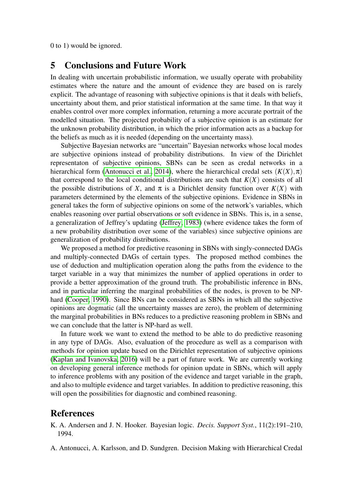0 to 1) would be ignored.

### <span id="page-10-1"></span>5 Conclusions and Future Work

In dealing with uncertain probabilistic information, we usually operate with probability estimates where the nature and the amount of evidence they are based on is rarely explicit. The advantage of reasoning with subjective opinions is that it deals with beliefs, uncertainty about them, and prior statistical information at the same time. In that way it enables control over more complex information, returning a more accurate portrait of the modelled situation. The projected probability of a subjective opinion is an estimate for the unknown probability distribution, in which the prior information acts as a backup for the beliefs as much as it is needed (depending on the uncertainty mass).

Subjective Bayesian networks are "uncertain" Bayesian networks whose local modes are subjective opinions instead of probability distributions. In view of the Dirichlet representaton of subjective opinions, SBNs can be seen as credal networks in a hierarchical form [\(Antonucci et al., 2014\)](#page-10-2), where the hierarchical credal sets  $(K(X), \pi)$ that correspond to the local conditional distributions are such that  $K(X)$  consists of all the possible distributions of *X*, and  $\pi$  is a Dirichlet density function over  $K(X)$  with parameters determined by the elements of the subjective opinions. Evidence in SBNs in general takes the form of subjective opinions on some of the network's variables, which enables reasoning over partial observations or soft evidence in SBNs. This is, in a sense, a generalization of Jeffrey's updating [\(Jeffrey, 1983\)](#page-11-15) (where evidence takes the form of a new probability distribution over some of the variables) since subjective opinions are generalization of probability distributions.

We proposed a method for predictive reasoning in SBNs with singly-connected DAGs and multiply-connected DAGs of certain types. The proposed method combines the use of deduction and multiplication operation along the paths from the evidence to the target variable in a way that minimizes the number of applied operations in order to provide a better approximation of the ground truth. The probabilistic inference in BNs, and in particular inferring the marginal probabilities of the nodes, is proven to be NPhard [\(Cooper, 1990\)](#page-11-16). Since BNs can be considered as SBNs in which all the subjective opinions are dogmatic (all the uncertainty masses are zero), the problem of determining the marginal probabilities in BNs reduces to a predictive reasoning problem in SBNs and we can conclude that the latter is NP-hard as well.

In future work we want to extend the method to be able to do predictive reasoning in any type of DAGs. Also, evaluation of the procedure as well as a comparison with methods for opinion update based on the Dirichlet representation of subjective opinions [\(Kaplan and Ivanovska, 2016\)](#page-11-17) will be a part of future work. We are currently working on developing general inference methods for opinion update in SBNs, which will apply to inference problems with any position of the evidence and target variable in the graph, and also to multiple evidence and target variables. In addition to predictive reasoning, this will open the possibilities for diagnostic and combined reasoning.

### References

- <span id="page-10-0"></span>K. A. Andersen and J. N. Hooker. Bayesian logic. *Decis. Support Syst.*, 11(2):191–210, 1994.
- <span id="page-10-2"></span>A. Antonucci, A. Karlsson, and D. Sundgren. Decision Making with Hierarchical Credal